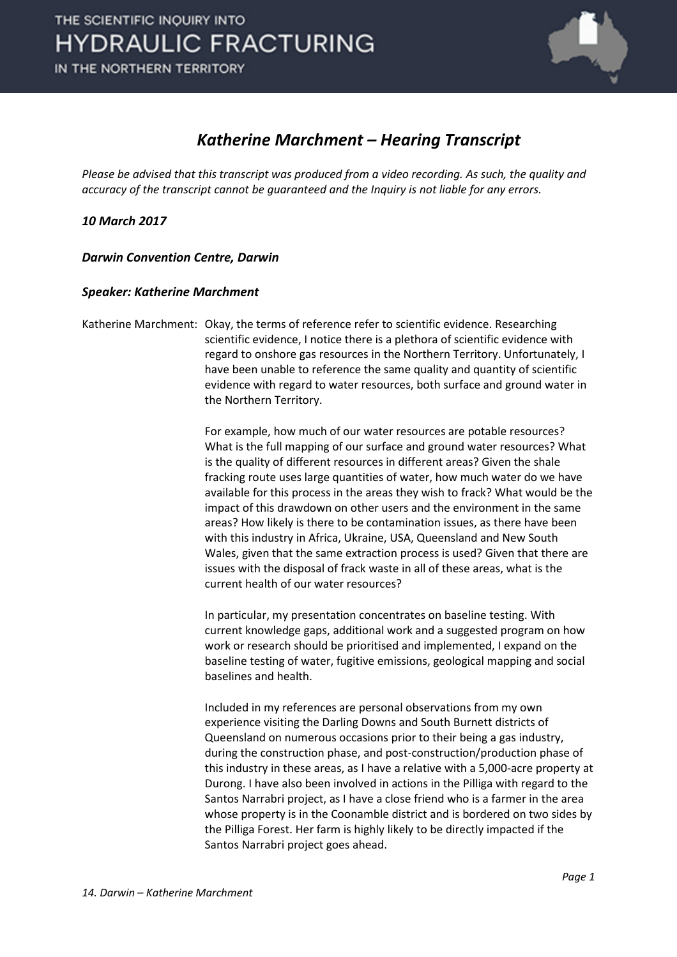

#### *Katherine Marchment – Hearing Transcript*

*Please be advised that this transcript was produced from a video recording. As such, the quality and accuracy of the transcript cannot be guaranteed and the Inquiry is not liable for any errors.*

*10 March 2017* 

*Darwin Convention Centre, Darwin* 

#### *Speaker: Katherine Marchment*

Katherine Marchment: Okay, the terms of reference refer to scientific evidence. Researching scientific evidence, I notice there is a plethora of scientific evidence with regard to onshore gas resources in the Northern Territory. Unfortunately, I have been unable to reference the same quality and quantity of scientific evidence with regard to water resources, both surface and ground water in the Northern Territory.

> For example, how much of our water resources are potable resources? What is the full mapping of our surface and ground water resources? What is the quality of different resources in different areas? Given the shale fracking route uses large quantities of water, how much water do we have available for this process in the areas they wish to frack? What would be the impact of this drawdown on other users and the environment in the same areas? How likely is there to be contamination issues, as there have been with this industry in Africa, Ukraine, USA, Queensland and New South Wales, given that the same extraction process is used? Given that there are issues with the disposal of frack waste in all of these areas, what is the current health of our water resources?

In particular, my presentation concentrates on baseline testing. With current knowledge gaps, additional work and a suggested program on how work or research should be prioritised and implemented, I expand on the baseline testing of water, fugitive emissions, geological mapping and social baselines and health.

Included in my references are personal observations from my own experience visiting the Darling Downs and South Burnett districts of Queensland on numerous occasions prior to their being a gas industry, during the construction phase, and post-construction/production phase of this industry in these areas, as I have a relative with a 5,000-acre property at Durong. I have also been involved in actions in the Pilliga with regard to the Santos Narrabri project, as I have a close friend who is a farmer in the area whose property is in the Coonamble district and is bordered on two sides by the Pilliga Forest. Her farm is highly likely to be directly impacted if the Santos Narrabri project goes ahead.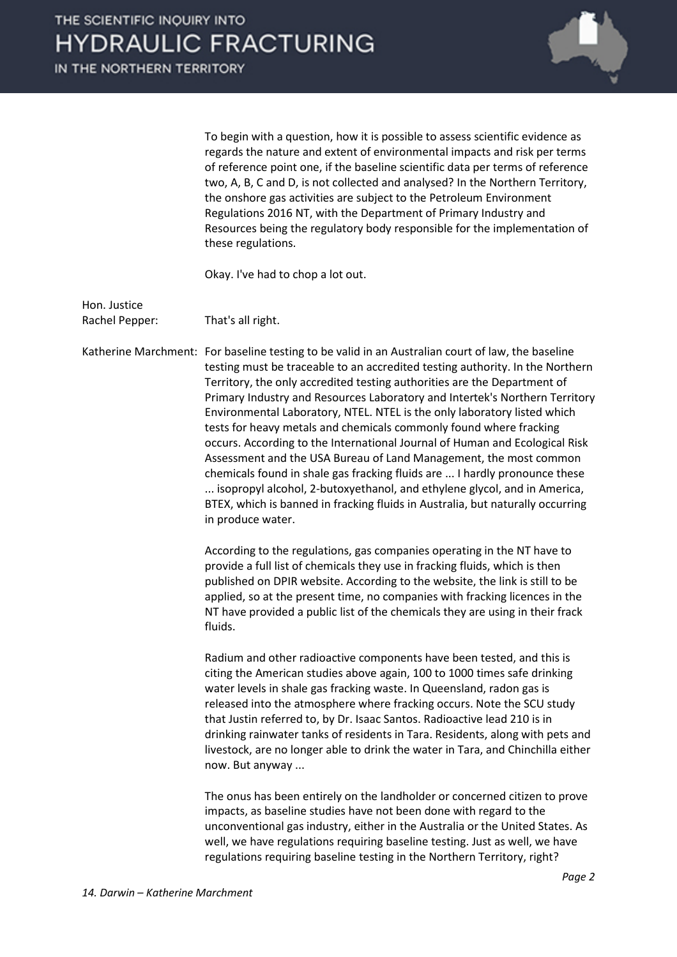IN THE NORTHERN TERRITORY



To begin with a question, how it is possible to assess scientific evidence as regards the nature and extent of environmental impacts and risk per terms of reference point one, if the baseline scientific data per terms of reference two, A, B, C and D, is not collected and analysed? In the Northern Territory, the onshore gas activities are subject to the Petroleum Environment Regulations 2016 NT, with the Department of Primary Industry and Resources being the regulatory body responsible for the implementation of these regulations.

Okay. I've had to chop a lot out.

Hon. Justice Rachel Pepper: That's all right.

Katherine Marchment: For baseline testing to be valid in an Australian court of law, the baseline testing must be traceable to an accredited testing authority. In the Northern Territory, the only accredited testing authorities are the Department of Primary Industry and Resources Laboratory and Intertek's Northern Territory Environmental Laboratory, NTEL. NTEL is the only laboratory listed which tests for heavy metals and chemicals commonly found where fracking occurs. According to the International Journal of Human and Ecological Risk Assessment and the USA Bureau of Land Management, the most common chemicals found in shale gas fracking fluids are ... I hardly pronounce these ... isopropyl alcohol, 2-butoxyethanol, and ethylene glycol, and in America, BTEX, which is banned in fracking fluids in Australia, but naturally occurring in produce water.

> According to the regulations, gas companies operating in the NT have to provide a full list of chemicals they use in fracking fluids, which is then published on DPIR website. According to the website, the link is still to be applied, so at the present time, no companies with fracking licences in the NT have provided a public list of the chemicals they are using in their frack fluids.

Radium and other radioactive components have been tested, and this is citing the American studies above again, 100 to 1000 times safe drinking water levels in shale gas fracking waste. In Queensland, radon gas is released into the atmosphere where fracking occurs. Note the SCU study that Justin referred to, by Dr. Isaac Santos. Radioactive lead 210 is in drinking rainwater tanks of residents in Tara. Residents, along with pets and livestock, are no longer able to drink the water in Tara, and Chinchilla either now. But anyway ...

The onus has been entirely on the landholder or concerned citizen to prove impacts, as baseline studies have not been done with regard to the unconventional gas industry, either in the Australia or the United States. As well, we have regulations requiring baseline testing. Just as well, we have regulations requiring baseline testing in the Northern Territory, right?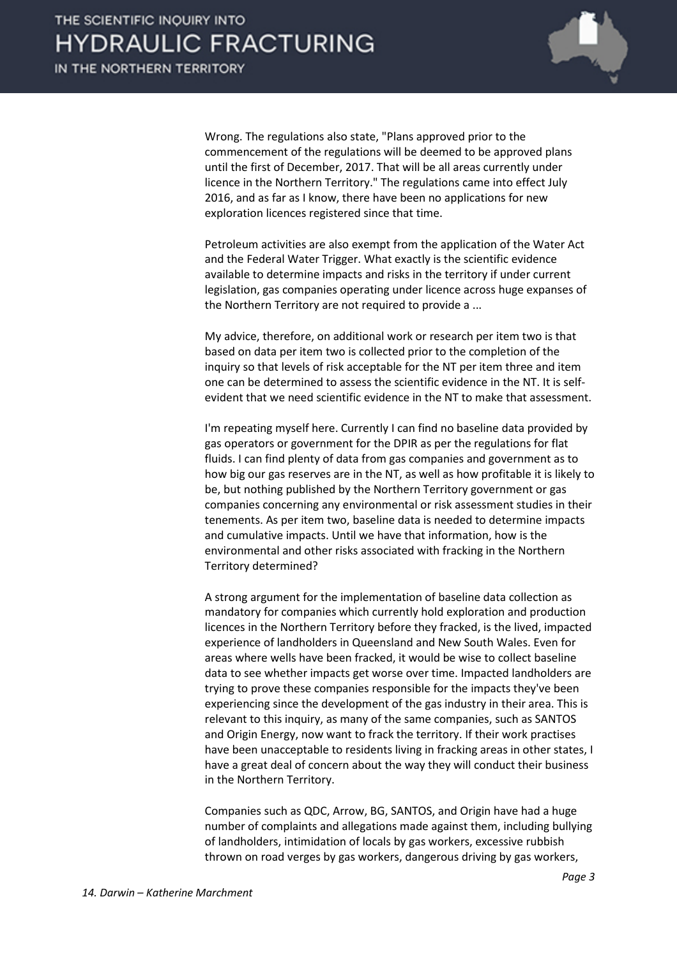

Wrong. The regulations also state, "Plans approved prior to the commencement of the regulations will be deemed to be approved plans until the first of December, 2017. That will be all areas currently under licence in the Northern Territory." The regulations came into effect July 2016, and as far as I know, there have been no applications for new exploration licences registered since that time.

Petroleum activities are also exempt from the application of the Water Act and the Federal Water Trigger. What exactly is the scientific evidence available to determine impacts and risks in the territory if under current legislation, gas companies operating under licence across huge expanses of the Northern Territory are not required to provide a ...

My advice, therefore, on additional work or research per item two is that based on data per item two is collected prior to the completion of the inquiry so that levels of risk acceptable for the NT per item three and item one can be determined to assess the scientific evidence in the NT. It is selfevident that we need scientific evidence in the NT to make that assessment.

I'm repeating myself here. Currently I can find no baseline data provided by gas operators or government for the DPIR as per the regulations for flat fluids. I can find plenty of data from gas companies and government as to how big our gas reserves are in the NT, as well as how profitable it is likely to be, but nothing published by the Northern Territory government or gas companies concerning any environmental or risk assessment studies in their tenements. As per item two, baseline data is needed to determine impacts and cumulative impacts. Until we have that information, how is the environmental and other risks associated with fracking in the Northern Territory determined?

A strong argument for the implementation of baseline data collection as mandatory for companies which currently hold exploration and production licences in the Northern Territory before they fracked, is the lived, impacted experience of landholders in Queensland and New South Wales. Even for areas where wells have been fracked, it would be wise to collect baseline data to see whether impacts get worse over time. Impacted landholders are trying to prove these companies responsible for the impacts they've been experiencing since the development of the gas industry in their area. This is relevant to this inquiry, as many of the same companies, such as SANTOS and Origin Energy, now want to frack the territory. If their work practises have been unacceptable to residents living in fracking areas in other states, I have a great deal of concern about the way they will conduct their business in the Northern Territory.

Companies such as QDC, Arrow, BG, SANTOS, and Origin have had a huge number of complaints and allegations made against them, including bullying of landholders, intimidation of locals by gas workers, excessive rubbish thrown on road verges by gas workers, dangerous driving by gas workers,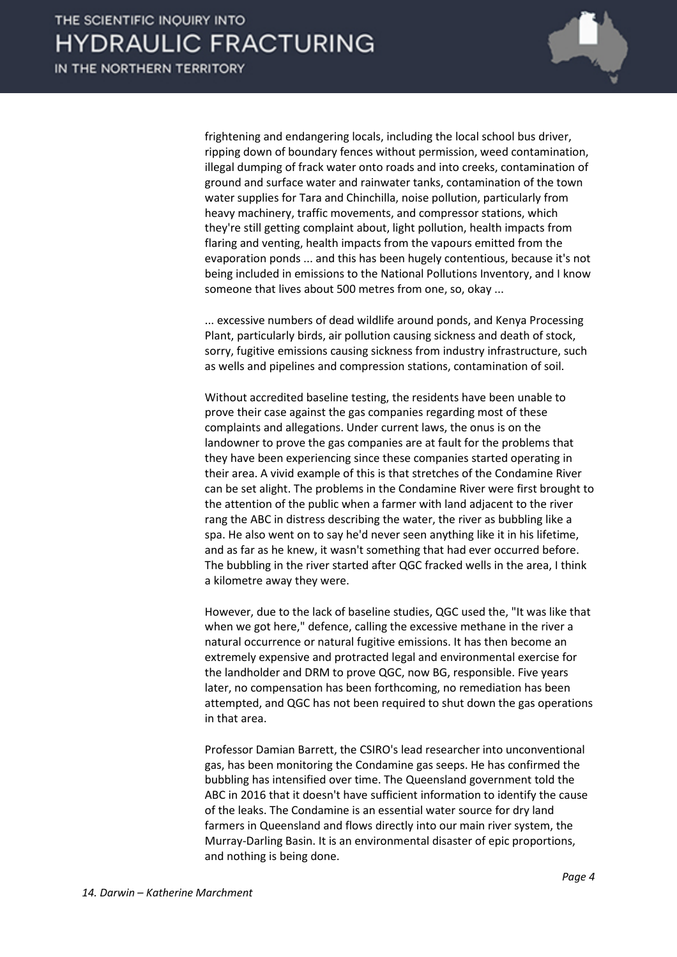

frightening and endangering locals, including the local school bus driver, ripping down of boundary fences without permission, weed contamination, illegal dumping of frack water onto roads and into creeks, contamination of ground and surface water and rainwater tanks, contamination of the town water supplies for Tara and Chinchilla, noise pollution, particularly from heavy machinery, traffic movements, and compressor stations, which they're still getting complaint about, light pollution, health impacts from flaring and venting, health impacts from the vapours emitted from the evaporation ponds ... and this has been hugely contentious, because it's not being included in emissions to the National Pollutions Inventory, and I know someone that lives about 500 metres from one, so, okay ...

... excessive numbers of dead wildlife around ponds, and Kenya Processing Plant, particularly birds, air pollution causing sickness and death of stock, sorry, fugitive emissions causing sickness from industry infrastructure, such as wells and pipelines and compression stations, contamination of soil.

Without accredited baseline testing, the residents have been unable to prove their case against the gas companies regarding most of these complaints and allegations. Under current laws, the onus is on the landowner to prove the gas companies are at fault for the problems that they have been experiencing since these companies started operating in their area. A vivid example of this is that stretches of the Condamine River can be set alight. The problems in the Condamine River were first brought to the attention of the public when a farmer with land adjacent to the river rang the ABC in distress describing the water, the river as bubbling like a spa. He also went on to say he'd never seen anything like it in his lifetime, and as far as he knew, it wasn't something that had ever occurred before. The bubbling in the river started after QGC fracked wells in the area, I think a kilometre away they were.

However, due to the lack of baseline studies, QGC used the, "It was like that when we got here," defence, calling the excessive methane in the river a natural occurrence or natural fugitive emissions. It has then become an extremely expensive and protracted legal and environmental exercise for the landholder and DRM to prove QGC, now BG, responsible. Five years later, no compensation has been forthcoming, no remediation has been attempted, and QGC has not been required to shut down the gas operations in that area.

Professor Damian Barrett, the CSIRO's lead researcher into unconventional gas, has been monitoring the Condamine gas seeps. He has confirmed the bubbling has intensified over time. The Queensland government told the ABC in 2016 that it doesn't have sufficient information to identify the cause of the leaks. The Condamine is an essential water source for dry land farmers in Queensland and flows directly into our main river system, the Murray-Darling Basin. It is an environmental disaster of epic proportions, and nothing is being done.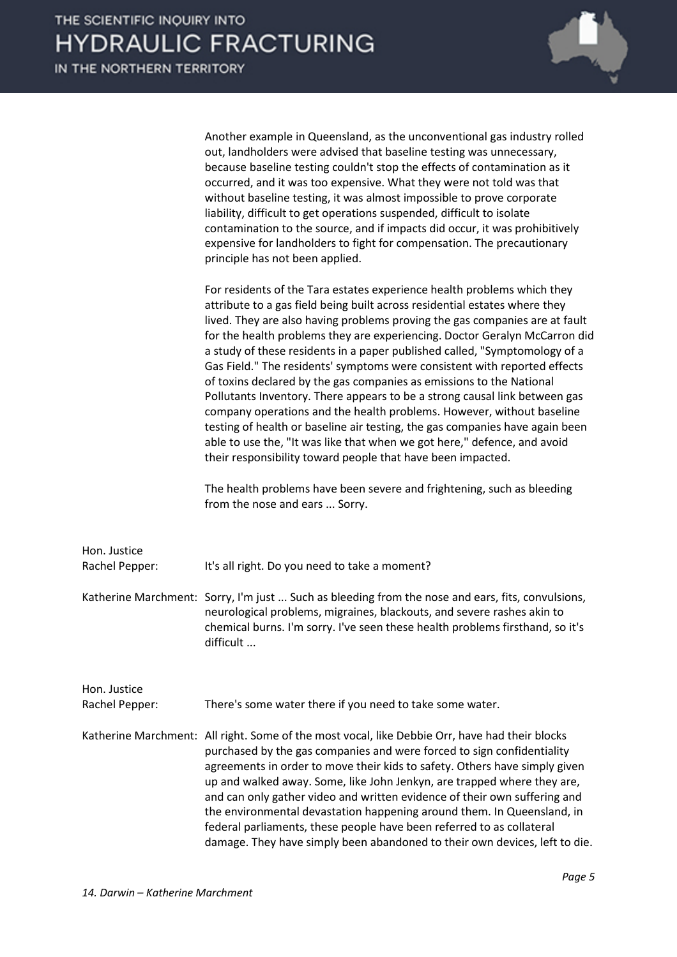

|                                | Another example in Queensland, as the unconventional gas industry rolled<br>out, landholders were advised that baseline testing was unnecessary,<br>because baseline testing couldn't stop the effects of contamination as it<br>occurred, and it was too expensive. What they were not told was that<br>without baseline testing, it was almost impossible to prove corporate<br>liability, difficult to get operations suspended, difficult to isolate<br>contamination to the source, and if impacts did occur, it was prohibitively<br>expensive for landholders to fight for compensation. The precautionary<br>principle has not been applied.                                                                                                                                                                                                                                                                                    |
|--------------------------------|-----------------------------------------------------------------------------------------------------------------------------------------------------------------------------------------------------------------------------------------------------------------------------------------------------------------------------------------------------------------------------------------------------------------------------------------------------------------------------------------------------------------------------------------------------------------------------------------------------------------------------------------------------------------------------------------------------------------------------------------------------------------------------------------------------------------------------------------------------------------------------------------------------------------------------------------|
|                                | For residents of the Tara estates experience health problems which they<br>attribute to a gas field being built across residential estates where they<br>lived. They are also having problems proving the gas companies are at fault<br>for the health problems they are experiencing. Doctor Geralyn McCarron did<br>a study of these residents in a paper published called, "Symptomology of a<br>Gas Field." The residents' symptoms were consistent with reported effects<br>of toxins declared by the gas companies as emissions to the National<br>Pollutants Inventory. There appears to be a strong causal link between gas<br>company operations and the health problems. However, without baseline<br>testing of health or baseline air testing, the gas companies have again been<br>able to use the, "It was like that when we got here," defence, and avoid<br>their responsibility toward people that have been impacted. |
|                                | The health problems have been severe and frightening, such as bleeding<br>from the nose and ears  Sorry.                                                                                                                                                                                                                                                                                                                                                                                                                                                                                                                                                                                                                                                                                                                                                                                                                                |
| Hon. Justice<br>Rachel Pepper: | It's all right. Do you need to take a moment?                                                                                                                                                                                                                                                                                                                                                                                                                                                                                                                                                                                                                                                                                                                                                                                                                                                                                           |
|                                | Katherine Marchment: Sorry, I'm just  Such as bleeding from the nose and ears, fits, convulsions,<br>neurological problems, migraines, blackouts, and severe rashes akin to<br>chemical burns. I'm sorry. I've seen these health problems firsthand, so it's<br>difficult                                                                                                                                                                                                                                                                                                                                                                                                                                                                                                                                                                                                                                                               |
| Hon. Justice<br>Rachel Pepper: | There's some water there if you need to take some water.                                                                                                                                                                                                                                                                                                                                                                                                                                                                                                                                                                                                                                                                                                                                                                                                                                                                                |
|                                | Katherine Marchment: All right. Some of the most vocal, like Debbie Orr, have had their blocks<br>purchased by the gas companies and were forced to sign confidentiality<br>agreements in order to move their kids to safety. Others have simply given<br>up and walked away. Some, like John Jenkyn, are trapped where they are,<br>and can only gather video and written evidence of their own suffering and<br>the environmental devastation happening around them. In Queensland, in<br>federal parliaments, these people have been referred to as collateral<br>damage. They have simply been abandoned to their own devices, left to die.                                                                                                                                                                                                                                                                                         |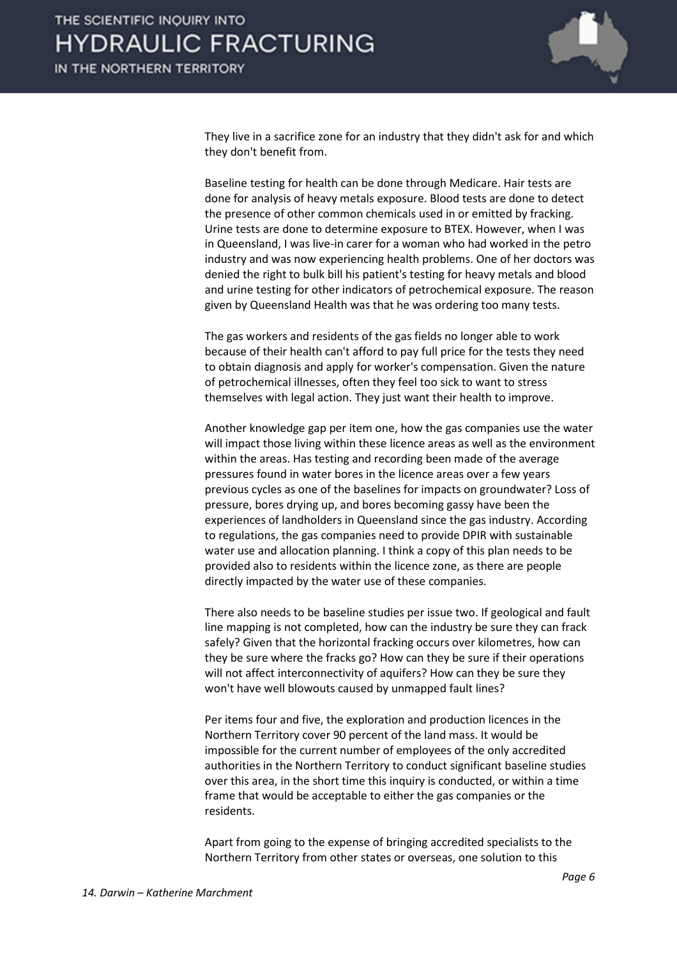

They live in a sacrifice zone for an industry that they didn't ask for and which they don't benefit from.

Baseline testing for health can be done through Medicare. Hair tests are done for analysis of heavy metals exposure. Blood tests are done to detect the presence of other common chemicals used in or emitted by fracking. Urine tests are done to determine exposure to BTEX. However, when I was in Queensland, I was live-in carer for a woman who had worked in the petro industry and was now experiencing health problems. One of her doctors was denied the right to bulk bill his patient's testing for heavy metals and blood and urine testing for other indicators of petrochemical exposure. The reason given by Queensland Health was that he was ordering too many tests.

The gas workers and residents of the gas fields no longer able to work because of their health can't afford to pay full price for the tests they need to obtain diagnosis and apply for worker's compensation. Given the nature of petrochemical illnesses, often they feel too sick to want to stress themselves with legal action. They just want their health to improve.

Another knowledge gap per item one, how the gas companies use the water will impact those living within these licence areas as well as the environment within the areas. Has testing and recording been made of the average pressures found in water bores in the licence areas over a few years previous cycles as one of the baselines for impacts on groundwater? Loss of pressure, bores drying up, and bores becoming gassy have been the experiences of landholders in Queensland since the gas industry. According to regulations, the gas companies need to provide DPIR with sustainable water use and allocation planning. I think a copy of this plan needs to be provided also to residents within the licence zone, as there are people directly impacted by the water use of these companies.

There also needs to be baseline studies per issue two. If geological and fault line mapping is not completed, how can the industry be sure they can frack safely? Given that the horizontal fracking occurs over kilometres, how can they be sure where the fracks go? How can they be sure if their operations will not affect interconnectivity of aquifers? How can they be sure they won't have well blowouts caused by unmapped fault lines?

Per items four and five, the exploration and production licences in the Northern Territory cover 90 percent of the land mass. It would be impossible for the current number of employees of the only accredited authorities in the Northern Territory to conduct significant baseline studies over this area, in the short time this inquiry is conducted, or within a time frame that would be acceptable to either the gas companies or the residents.

Apart from going to the expense of bringing accredited specialists to the Northern Territory from other states or overseas, one solution to this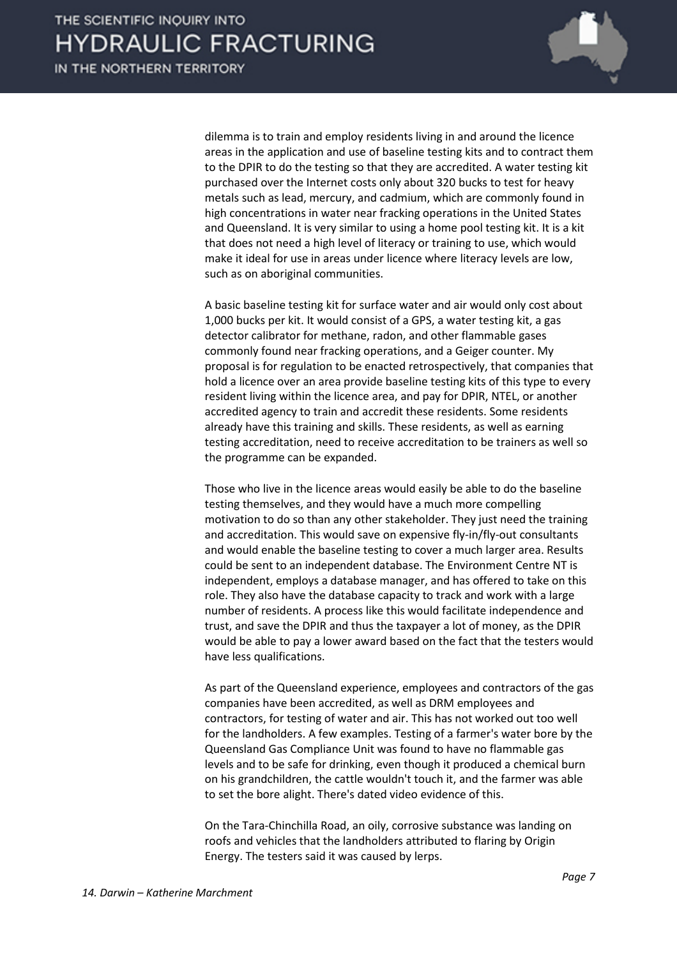

dilemma is to train and employ residents living in and around the licence areas in the application and use of baseline testing kits and to contract them to the DPIR to do the testing so that they are accredited. A water testing kit purchased over the Internet costs only about 320 bucks to test for heavy metals such as lead, mercury, and cadmium, which are commonly found in high concentrations in water near fracking operations in the United States and Queensland. It is very similar to using a home pool testing kit. It is a kit that does not need a high level of literacy or training to use, which would make it ideal for use in areas under licence where literacy levels are low, such as on aboriginal communities.

A basic baseline testing kit for surface water and air would only cost about 1,000 bucks per kit. It would consist of a GPS, a water testing kit, a gas detector calibrator for methane, radon, and other flammable gases commonly found near fracking operations, and a Geiger counter. My proposal is for regulation to be enacted retrospectively, that companies that hold a licence over an area provide baseline testing kits of this type to every resident living within the licence area, and pay for DPIR, NTEL, or another accredited agency to train and accredit these residents. Some residents already have this training and skills. These residents, as well as earning testing accreditation, need to receive accreditation to be trainers as well so the programme can be expanded.

Those who live in the licence areas would easily be able to do the baseline testing themselves, and they would have a much more compelling motivation to do so than any other stakeholder. They just need the training and accreditation. This would save on expensive fly-in/fly-out consultants and would enable the baseline testing to cover a much larger area. Results could be sent to an independent database. The Environment Centre NT is independent, employs a database manager, and has offered to take on this role. They also have the database capacity to track and work with a large number of residents. A process like this would facilitate independence and trust, and save the DPIR and thus the taxpayer a lot of money, as the DPIR would be able to pay a lower award based on the fact that the testers would have less qualifications.

As part of the Queensland experience, employees and contractors of the gas companies have been accredited, as well as DRM employees and contractors, for testing of water and air. This has not worked out too well for the landholders. A few examples. Testing of a farmer's water bore by the Queensland Gas Compliance Unit was found to have no flammable gas levels and to be safe for drinking, even though it produced a chemical burn on his grandchildren, the cattle wouldn't touch it, and the farmer was able to set the bore alight. There's dated video evidence of this.

On the Tara-Chinchilla Road, an oily, corrosive substance was landing on roofs and vehicles that the landholders attributed to flaring by Origin Energy. The testers said it was caused by lerps.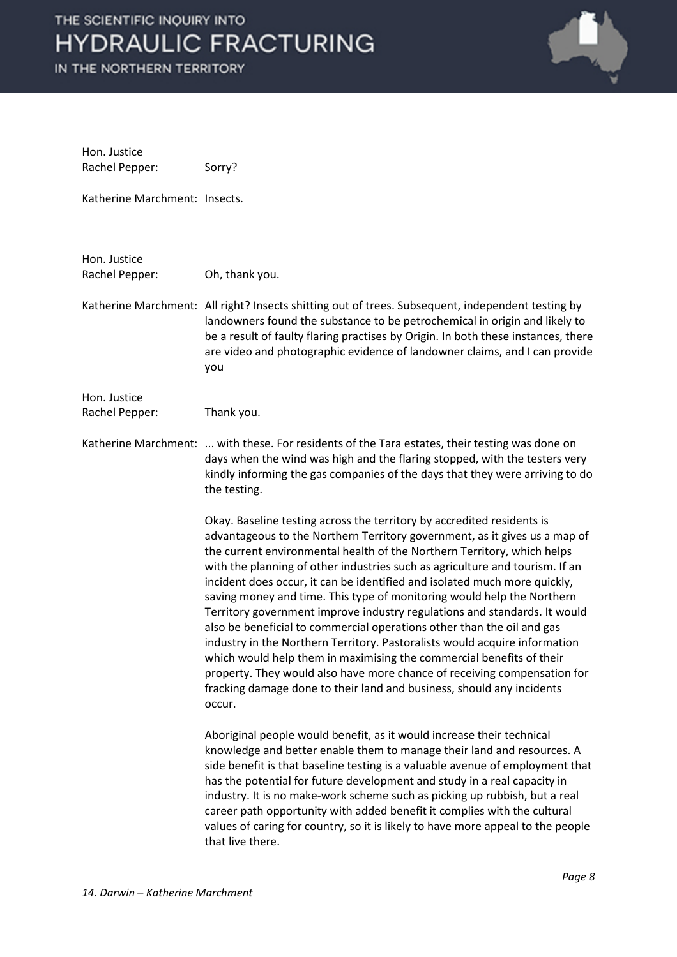

| Hon. Justice<br>Rachel Pepper: | Sorry?                                                                                                                                                                                                                                                                                                                                                                                                                                                                                                                                                                                                                                                                                                                                                                                                                                                                                                                                             |
|--------------------------------|----------------------------------------------------------------------------------------------------------------------------------------------------------------------------------------------------------------------------------------------------------------------------------------------------------------------------------------------------------------------------------------------------------------------------------------------------------------------------------------------------------------------------------------------------------------------------------------------------------------------------------------------------------------------------------------------------------------------------------------------------------------------------------------------------------------------------------------------------------------------------------------------------------------------------------------------------|
| Katherine Marchment: Insects.  |                                                                                                                                                                                                                                                                                                                                                                                                                                                                                                                                                                                                                                                                                                                                                                                                                                                                                                                                                    |
| Hon. Justice<br>Rachel Pepper: | Oh, thank you.                                                                                                                                                                                                                                                                                                                                                                                                                                                                                                                                                                                                                                                                                                                                                                                                                                                                                                                                     |
|                                | Katherine Marchment: All right? Insects shitting out of trees. Subsequent, independent testing by<br>landowners found the substance to be petrochemical in origin and likely to<br>be a result of faulty flaring practises by Origin. In both these instances, there<br>are video and photographic evidence of landowner claims, and I can provide<br>you                                                                                                                                                                                                                                                                                                                                                                                                                                                                                                                                                                                          |
| Hon. Justice<br>Rachel Pepper: | Thank you.                                                                                                                                                                                                                                                                                                                                                                                                                                                                                                                                                                                                                                                                                                                                                                                                                                                                                                                                         |
|                                | Katherine Marchment:  with these. For residents of the Tara estates, their testing was done on<br>days when the wind was high and the flaring stopped, with the testers very<br>kindly informing the gas companies of the days that they were arriving to do<br>the testing.                                                                                                                                                                                                                                                                                                                                                                                                                                                                                                                                                                                                                                                                       |
|                                | Okay. Baseline testing across the territory by accredited residents is<br>advantageous to the Northern Territory government, as it gives us a map of<br>the current environmental health of the Northern Territory, which helps<br>with the planning of other industries such as agriculture and tourism. If an<br>incident does occur, it can be identified and isolated much more quickly,<br>saving money and time. This type of monitoring would help the Northern<br>Territory government improve industry regulations and standards. It would<br>also be beneficial to commercial operations other than the oil and gas<br>industry in the Northern Territory. Pastoralists would acquire information<br>which would help them in maximising the commercial benefits of their<br>property. They would also have more chance of receiving compensation for<br>fracking damage done to their land and business, should any incidents<br>occur. |
|                                | Aboriginal people would benefit, as it would increase their technical<br>knowledge and better enable them to manage their land and resources. A<br>side benefit is that baseline testing is a valuable avenue of employment that<br>has the potential for future development and study in a real capacity in<br>industry. It is no make-work scheme such as picking up rubbish, but a real<br>career path opportunity with added benefit it complies with the cultural<br>values of caring for country, so it is likely to have more appeal to the people<br>that live there.                                                                                                                                                                                                                                                                                                                                                                      |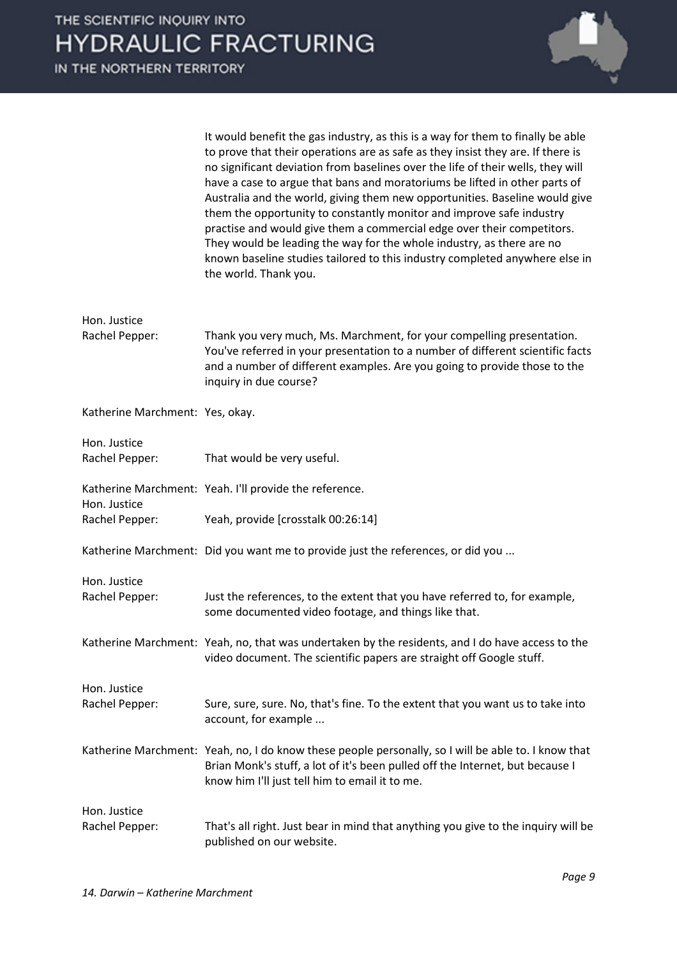

| It would benefit the gas industry, as this is a way for them to finally be able |
|---------------------------------------------------------------------------------|
| to prove that their operations are as safe as they insist they are. If there is |
| no significant deviation from baselines over the life of their wells, they will |
| have a case to argue that bans and moratoriums be lifted in other parts of      |
| Australia and the world, giving them new opportunities. Baseline would give     |
| them the opportunity to constantly monitor and improve safe industry            |
| practise and would give them a commercial edge over their competitors.          |
| They would be leading the way for the whole industry, as there are no           |
| known baseline studies tailored to this industry completed anywhere else in     |
| the world. Thank you.                                                           |

| Hon. Justice                    |                                                                                                                                                                                                                                                                |
|---------------------------------|----------------------------------------------------------------------------------------------------------------------------------------------------------------------------------------------------------------------------------------------------------------|
| Rachel Pepper:                  | Thank you very much, Ms. Marchment, for your compelling presentation.<br>You've referred in your presentation to a number of different scientific facts<br>and a number of different examples. Are you going to provide those to the<br>inquiry in due course? |
| Katherine Marchment: Yes, okay. |                                                                                                                                                                                                                                                                |
| Hon. Justice                    |                                                                                                                                                                                                                                                                |
| Rachel Pepper:                  | That would be very useful.                                                                                                                                                                                                                                     |
| Hon. Justice                    | Katherine Marchment: Yeah. I'll provide the reference.                                                                                                                                                                                                         |
| Rachel Pepper:                  | Yeah, provide [crosstalk 00:26:14]                                                                                                                                                                                                                             |
|                                 | Katherine Marchment: Did you want me to provide just the references, or did you                                                                                                                                                                                |
| Hon. Justice                    |                                                                                                                                                                                                                                                                |
| Rachel Pepper:                  | Just the references, to the extent that you have referred to, for example,<br>some documented video footage, and things like that.                                                                                                                             |
|                                 | Katherine Marchment: Yeah, no, that was undertaken by the residents, and I do have access to the<br>video document. The scientific papers are straight off Google stuff.                                                                                       |
| Hon. Justice                    |                                                                                                                                                                                                                                                                |
| Rachel Pepper:                  | Sure, sure, sure. No, that's fine. To the extent that you want us to take into<br>account, for example                                                                                                                                                         |
|                                 | Katherine Marchment: Yeah, no, I do know these people personally, so I will be able to. I know that<br>Brian Monk's stuff, a lot of it's been pulled off the Internet, but because I<br>know him I'll just tell him to email it to me.                         |
| Hon. Justice                    |                                                                                                                                                                                                                                                                |
| Rachel Pepper:                  | That's all right. Just bear in mind that anything you give to the inquiry will be<br>published on our website.                                                                                                                                                 |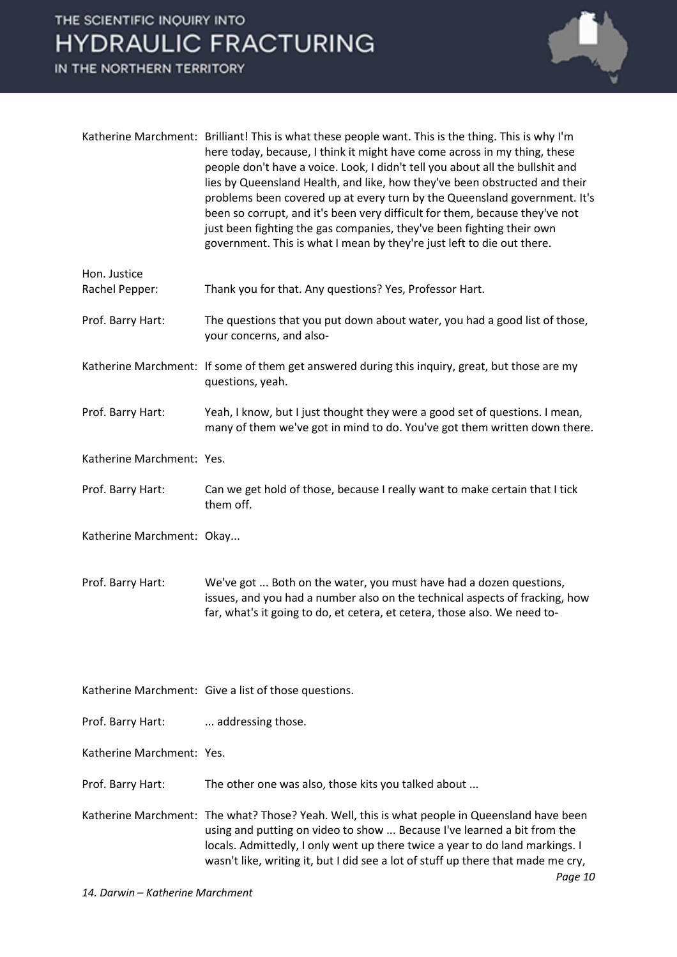IN THE NORTHERN TERRITORY



|                                | Katherine Marchment: Brilliant! This is what these people want. This is the thing. This is why I'm<br>here today, because, I think it might have come across in my thing, these<br>people don't have a voice. Look, I didn't tell you about all the bullshit and<br>lies by Queensland Health, and like, how they've been obstructed and their<br>problems been covered up at every turn by the Queensland government. It's<br>been so corrupt, and it's been very difficult for them, because they've not<br>just been fighting the gas companies, they've been fighting their own<br>government. This is what I mean by they're just left to die out there. |
|--------------------------------|---------------------------------------------------------------------------------------------------------------------------------------------------------------------------------------------------------------------------------------------------------------------------------------------------------------------------------------------------------------------------------------------------------------------------------------------------------------------------------------------------------------------------------------------------------------------------------------------------------------------------------------------------------------|
| Hon. Justice<br>Rachel Pepper: | Thank you for that. Any questions? Yes, Professor Hart.                                                                                                                                                                                                                                                                                                                                                                                                                                                                                                                                                                                                       |
| Prof. Barry Hart:              | The questions that you put down about water, you had a good list of those,<br>your concerns, and also-                                                                                                                                                                                                                                                                                                                                                                                                                                                                                                                                                        |
|                                | Katherine Marchment: If some of them get answered during this inquiry, great, but those are my<br>questions, yeah.                                                                                                                                                                                                                                                                                                                                                                                                                                                                                                                                            |
| Prof. Barry Hart:              | Yeah, I know, but I just thought they were a good set of questions. I mean,<br>many of them we've got in mind to do. You've got them written down there.                                                                                                                                                                                                                                                                                                                                                                                                                                                                                                      |
| Katherine Marchment: Yes.      |                                                                                                                                                                                                                                                                                                                                                                                                                                                                                                                                                                                                                                                               |
| Prof. Barry Hart:              | Can we get hold of those, because I really want to make certain that I tick<br>them off.                                                                                                                                                                                                                                                                                                                                                                                                                                                                                                                                                                      |
| Katherine Marchment: Okay      |                                                                                                                                                                                                                                                                                                                                                                                                                                                                                                                                                                                                                                                               |
| Prof. Barry Hart:              | We've got  Both on the water, you must have had a dozen questions,<br>issues, and you had a number also on the technical aspects of fracking, how<br>far, what's it going to do, et cetera, et cetera, those also. We need to-                                                                                                                                                                                                                                                                                                                                                                                                                                |
|                                | Katherine Marchment: Give a list of those questions.                                                                                                                                                                                                                                                                                                                                                                                                                                                                                                                                                                                                          |
| Prof. Barry Hart:              | addressing those.                                                                                                                                                                                                                                                                                                                                                                                                                                                                                                                                                                                                                                             |
| Katherine Marchment: Yes.      |                                                                                                                                                                                                                                                                                                                                                                                                                                                                                                                                                                                                                                                               |
| Prof. Barry Hart:              | The other one was also, those kits you talked about                                                                                                                                                                                                                                                                                                                                                                                                                                                                                                                                                                                                           |
|                                | Katherine Marchment: The what? Those? Yeah. Well, this is what people in Queensland have been<br>using and putting on video to show  Because I've learned a bit from the<br>locals. Admittedly, I only went up there twice a year to do land markings. I                                                                                                                                                                                                                                                                                                                                                                                                      |

wasn't like, writing it, but I did see a lot of stuff up there that made me cry,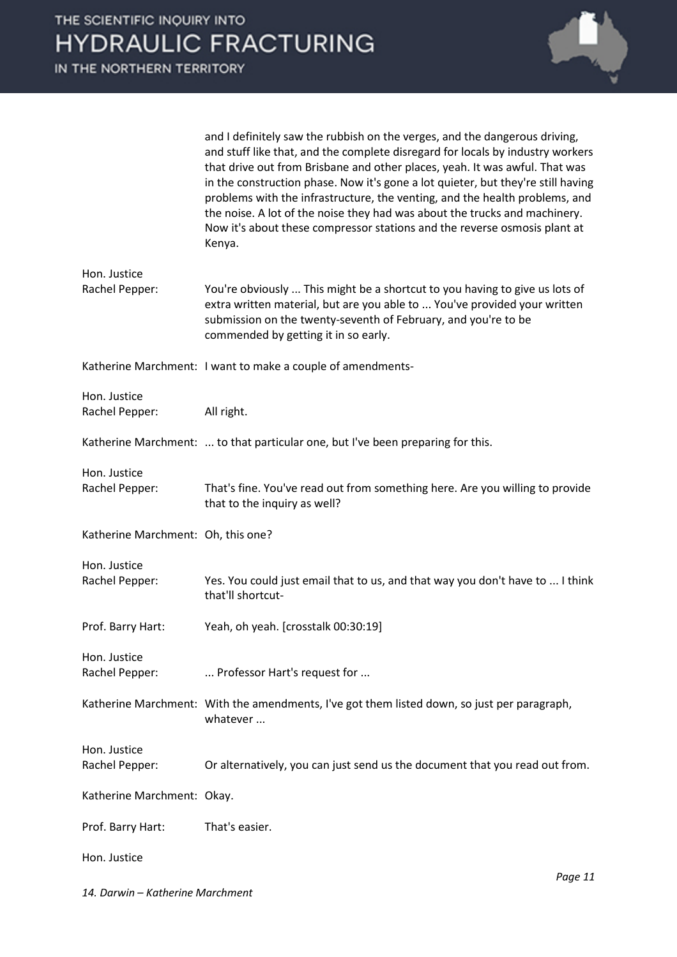

|                                    | and I definitely saw the rubbish on the verges, and the dangerous driving,<br>and stuff like that, and the complete disregard for locals by industry workers<br>that drive out from Brisbane and other places, yeah. It was awful. That was<br>in the construction phase. Now it's gone a lot quieter, but they're still having<br>problems with the infrastructure, the venting, and the health problems, and<br>the noise. A lot of the noise they had was about the trucks and machinery.<br>Now it's about these compressor stations and the reverse osmosis plant at<br>Kenya. |
|------------------------------------|-------------------------------------------------------------------------------------------------------------------------------------------------------------------------------------------------------------------------------------------------------------------------------------------------------------------------------------------------------------------------------------------------------------------------------------------------------------------------------------------------------------------------------------------------------------------------------------|
| Hon. Justice<br>Rachel Pepper:     | You're obviously  This might be a shortcut to you having to give us lots of<br>extra written material, but are you able to  You've provided your written<br>submission on the twenty-seventh of February, and you're to be<br>commended by getting it in so early.                                                                                                                                                                                                                                                                                                                  |
|                                    | Katherine Marchment: I want to make a couple of amendments-                                                                                                                                                                                                                                                                                                                                                                                                                                                                                                                         |
| Hon. Justice<br>Rachel Pepper:     | All right.                                                                                                                                                                                                                                                                                                                                                                                                                                                                                                                                                                          |
|                                    | Katherine Marchment:  to that particular one, but I've been preparing for this.                                                                                                                                                                                                                                                                                                                                                                                                                                                                                                     |
| Hon. Justice<br>Rachel Pepper:     | That's fine. You've read out from something here. Are you willing to provide<br>that to the inquiry as well?                                                                                                                                                                                                                                                                                                                                                                                                                                                                        |
| Katherine Marchment: Oh, this one? |                                                                                                                                                                                                                                                                                                                                                                                                                                                                                                                                                                                     |
| Hon. Justice<br>Rachel Pepper:     | Yes. You could just email that to us, and that way you don't have to  I think<br>that'll shortcut-                                                                                                                                                                                                                                                                                                                                                                                                                                                                                  |
| Prof. Barry Hart:                  | Yeah, oh yeah. [crosstalk 00:30:19]                                                                                                                                                                                                                                                                                                                                                                                                                                                                                                                                                 |
| Hon. Justice<br>Rachel Pepper:     | Professor Hart's request for                                                                                                                                                                                                                                                                                                                                                                                                                                                                                                                                                        |
|                                    | Katherine Marchment: With the amendments, I've got them listed down, so just per paragraph,<br>whatever                                                                                                                                                                                                                                                                                                                                                                                                                                                                             |
| Hon. Justice<br>Rachel Pepper:     | Or alternatively, you can just send us the document that you read out from.                                                                                                                                                                                                                                                                                                                                                                                                                                                                                                         |
| Katherine Marchment: Okay.         |                                                                                                                                                                                                                                                                                                                                                                                                                                                                                                                                                                                     |
| Prof. Barry Hart:                  | That's easier.                                                                                                                                                                                                                                                                                                                                                                                                                                                                                                                                                                      |
| Hon. Justice                       |                                                                                                                                                                                                                                                                                                                                                                                                                                                                                                                                                                                     |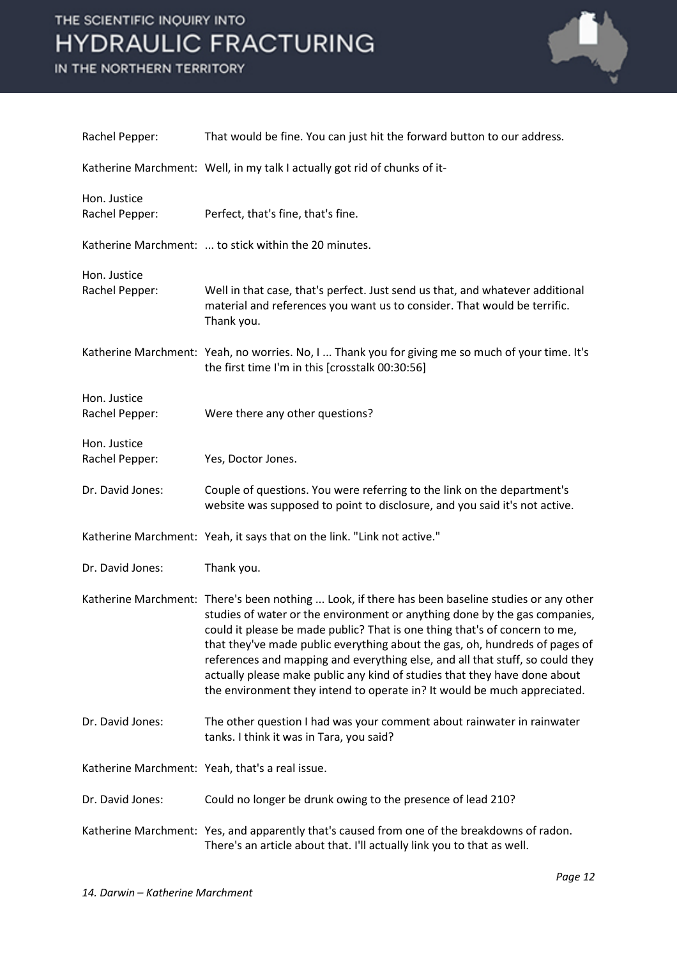

| Rachel Pepper:                 | That would be fine. You can just hit the forward button to our address.                                                                                                                                                                                                                                                                                                                                                                                                                                                                                                               |
|--------------------------------|---------------------------------------------------------------------------------------------------------------------------------------------------------------------------------------------------------------------------------------------------------------------------------------------------------------------------------------------------------------------------------------------------------------------------------------------------------------------------------------------------------------------------------------------------------------------------------------|
|                                | Katherine Marchment: Well, in my talk I actually got rid of chunks of it-                                                                                                                                                                                                                                                                                                                                                                                                                                                                                                             |
| Hon. Justice<br>Rachel Pepper: | Perfect, that's fine, that's fine.                                                                                                                                                                                                                                                                                                                                                                                                                                                                                                                                                    |
|                                | Katherine Marchment:  to stick within the 20 minutes.                                                                                                                                                                                                                                                                                                                                                                                                                                                                                                                                 |
| Hon. Justice<br>Rachel Pepper: | Well in that case, that's perfect. Just send us that, and whatever additional<br>material and references you want us to consider. That would be terrific.<br>Thank you.                                                                                                                                                                                                                                                                                                                                                                                                               |
|                                | Katherine Marchment: Yeah, no worries. No, I  Thank you for giving me so much of your time. It's<br>the first time I'm in this [crosstalk 00:30:56]                                                                                                                                                                                                                                                                                                                                                                                                                                   |
| Hon. Justice<br>Rachel Pepper: | Were there any other questions?                                                                                                                                                                                                                                                                                                                                                                                                                                                                                                                                                       |
| Hon. Justice<br>Rachel Pepper: | Yes, Doctor Jones.                                                                                                                                                                                                                                                                                                                                                                                                                                                                                                                                                                    |
| Dr. David Jones:               | Couple of questions. You were referring to the link on the department's<br>website was supposed to point to disclosure, and you said it's not active.                                                                                                                                                                                                                                                                                                                                                                                                                                 |
|                                | Katherine Marchment: Yeah, it says that on the link. "Link not active."                                                                                                                                                                                                                                                                                                                                                                                                                                                                                                               |
| Dr. David Jones:               | Thank you.                                                                                                                                                                                                                                                                                                                                                                                                                                                                                                                                                                            |
|                                | Katherine Marchment: There's been nothing  Look, if there has been baseline studies or any other<br>studies of water or the environment or anything done by the gas companies,<br>could it please be made public? That is one thing that's of concern to me,<br>that they've made public everything about the gas, oh, hundreds of pages of<br>references and mapping and everything else, and all that stuff, so could they<br>actually please make public any kind of studies that they have done about<br>the environment they intend to operate in? It would be much appreciated. |
| Dr. David Jones:               | The other question I had was your comment about rainwater in rainwater<br>tanks. I think it was in Tara, you said?                                                                                                                                                                                                                                                                                                                                                                                                                                                                    |
|                                | Katherine Marchment: Yeah, that's a real issue.                                                                                                                                                                                                                                                                                                                                                                                                                                                                                                                                       |
| Dr. David Jones:               | Could no longer be drunk owing to the presence of lead 210?                                                                                                                                                                                                                                                                                                                                                                                                                                                                                                                           |
|                                | Katherine Marchment: Yes, and apparently that's caused from one of the breakdowns of radon.<br>There's an article about that. I'll actually link you to that as well.                                                                                                                                                                                                                                                                                                                                                                                                                 |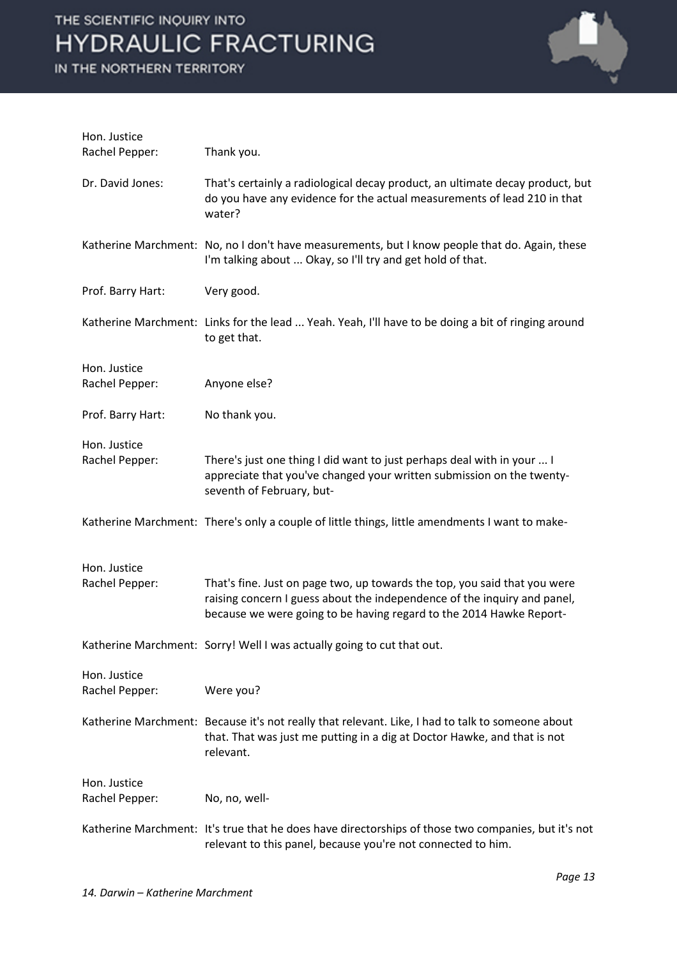| Hon. Justice<br>Rachel Pepper: | Thank you.                                                                                                                                                                                                                   |
|--------------------------------|------------------------------------------------------------------------------------------------------------------------------------------------------------------------------------------------------------------------------|
| Dr. David Jones:               | That's certainly a radiological decay product, an ultimate decay product, but<br>do you have any evidence for the actual measurements of lead 210 in that<br>water?                                                          |
|                                | Katherine Marchment: No, no I don't have measurements, but I know people that do. Again, these<br>I'm talking about  Okay, so I'll try and get hold of that.                                                                 |
| Prof. Barry Hart:              | Very good.                                                                                                                                                                                                                   |
|                                | Katherine Marchment: Links for the lead  Yeah. Yeah, I'll have to be doing a bit of ringing around<br>to get that.                                                                                                           |
| Hon. Justice<br>Rachel Pepper: | Anyone else?                                                                                                                                                                                                                 |
| Prof. Barry Hart:              | No thank you.                                                                                                                                                                                                                |
| Hon. Justice<br>Rachel Pepper: | There's just one thing I did want to just perhaps deal with in your  I<br>appreciate that you've changed your written submission on the twenty-<br>seventh of February, but-                                                 |
|                                | Katherine Marchment: There's only a couple of little things, little amendments I want to make-                                                                                                                               |
| Hon. Justice<br>Rachel Pepper: | That's fine. Just on page two, up towards the top, you said that you were<br>raising concern I guess about the independence of the inquiry and panel,<br>because we were going to be having regard to the 2014 Hawke Report- |
|                                | Katherine Marchment: Sorry! Well I was actually going to cut that out.                                                                                                                                                       |
| Hon. Justice<br>Rachel Pepper: | Were you?                                                                                                                                                                                                                    |
|                                | Katherine Marchment: Because it's not really that relevant. Like, I had to talk to someone about<br>that. That was just me putting in a dig at Doctor Hawke, and that is not<br>relevant.                                    |
| Hon. Justice<br>Rachel Pepper: | No, no, well-                                                                                                                                                                                                                |
|                                | Katherine Marchment: It's true that he does have directorships of those two companies, but it's not<br>relevant to this panel, because you're not connected to him.                                                          |